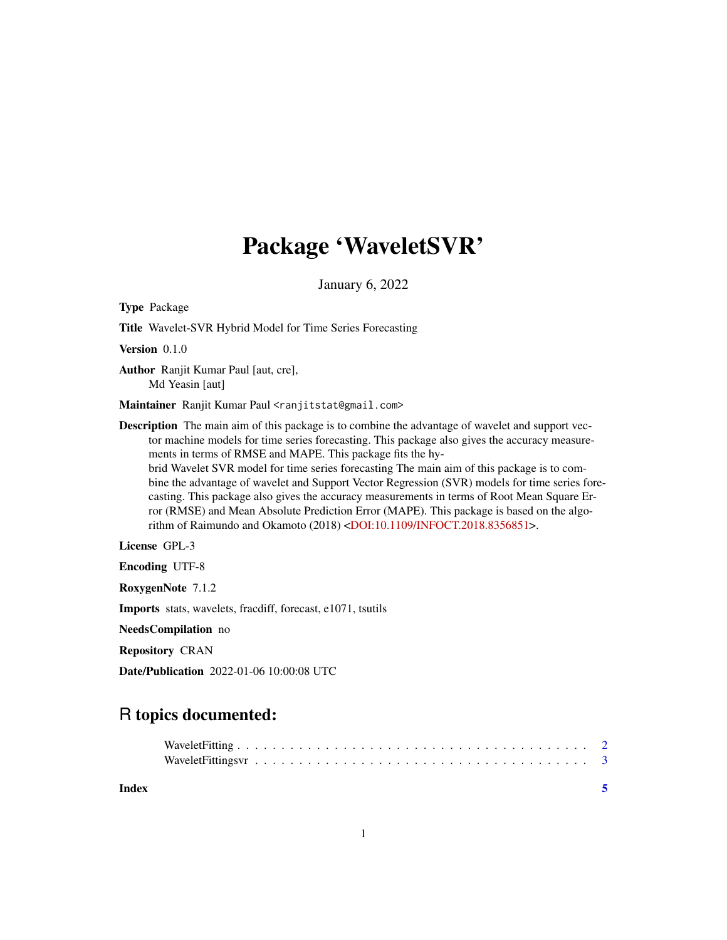## Package 'WaveletSVR'

January 6, 2022

Type Package

Title Wavelet-SVR Hybrid Model for Time Series Forecasting

Version 0.1.0

Author Ranjit Kumar Paul [aut, cre], Md Yeasin [aut]

Maintainer Ranjit Kumar Paul <ranjitstat@gmail.com>

Description The main aim of this package is to combine the advantage of wavelet and support vector machine models for time series forecasting. This package also gives the accuracy measurements in terms of RMSE and MAPE. This package fits the hybrid Wavelet SVR model for time series forecasting The main aim of this package is to combine the advantage of wavelet and Support Vector Regression (SVR) models for time series forecasting. This package also gives the accuracy measurements in terms of Root Mean Square Error (RMSE) and Mean Absolute Prediction Error (MAPE). This package is based on the algorithm of Raimundo and Okamoto (2018) [<DOI:10.1109/INFOCT.2018.8356851>](https://doi.org/10.1109/INFOCT.2018.8356851).

License GPL-3

Encoding UTF-8

RoxygenNote 7.1.2

Imports stats, wavelets, fracdiff, forecast, e1071, tsutils

NeedsCompilation no

Repository CRAN

Date/Publication 2022-01-06 10:00:08 UTC

### R topics documented:

| Index |  |  |  |  |  |  |  |  |  |  |  |  |  |  |  |
|-------|--|--|--|--|--|--|--|--|--|--|--|--|--|--|--|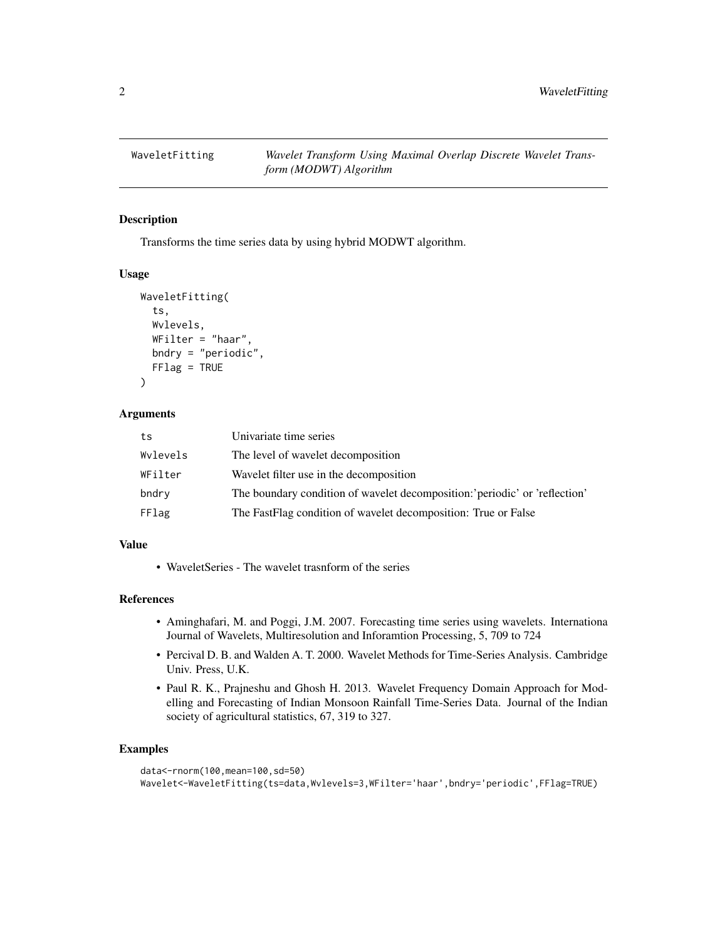<span id="page-1-0"></span>

#### Description

Transforms the time series data by using hybrid MODWT algorithm.

#### Usage

```
WaveletFitting(
  ts,
  Wvlevels,
  WFilter = "haar",
  bndry = "periodic",
  FFlag = TRUE
)
```
#### **Arguments**

| ts       | Univariate time series                                                      |
|----------|-----------------------------------------------------------------------------|
| Wylevels | The level of wavelet decomposition                                          |
| WFilter  | Wavelet filter use in the decomposition                                     |
| bndry    | The boundary condition of wavelet decomposition: 'periodic' or 'reflection' |
| FFlag    | The FastFlag condition of wavelet decomposition: True or False              |

#### Value

• WaveletSeries - The wavelet trasnform of the series

#### References

- Aminghafari, M. and Poggi, J.M. 2007. Forecasting time series using wavelets. Internationa Journal of Wavelets, Multiresolution and Inforamtion Processing, 5, 709 to 724
- Percival D. B. and Walden A. T. 2000. Wavelet Methods for Time-Series Analysis. Cambridge Univ. Press, U.K.
- Paul R. K., Prajneshu and Ghosh H. 2013. Wavelet Frequency Domain Approach for Modelling and Forecasting of Indian Monsoon Rainfall Time-Series Data. Journal of the Indian society of agricultural statistics, 67, 319 to 327.

#### Examples

```
data<-rnorm(100,mean=100,sd=50)
Wavelet<-WaveletFitting(ts=data,Wvlevels=3,WFilter='haar',bndry='periodic',FFlag=TRUE)
```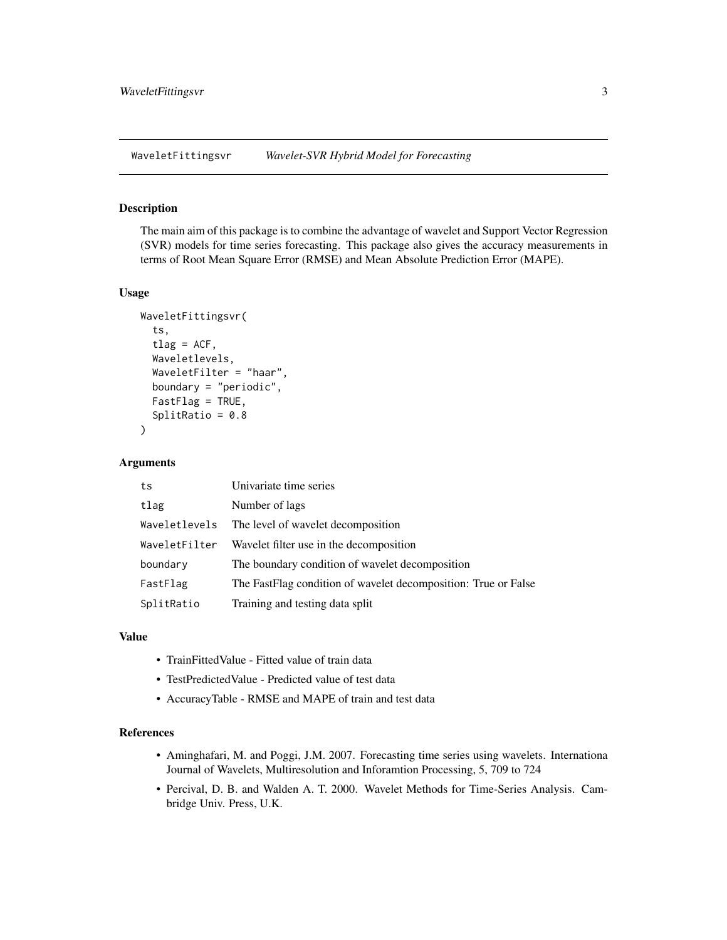<span id="page-2-0"></span>WaveletFittingsvr *Wavelet-SVR Hybrid Model for Forecasting*

#### **Description**

The main aim of this package is to combine the advantage of wavelet and Support Vector Regression (SVR) models for time series forecasting. This package also gives the accuracy measurements in terms of Root Mean Square Error (RMSE) and Mean Absolute Prediction Error (MAPE).

#### Usage

```
WaveletFittingsvr(
  ts,
  tlag = ACF,
  Waveletlevels,
  WaveletFilter = "haar",
  boundary = "periodic",
  FastFlag = TRUE,
  SplitRatio = 0.8)
```
#### Arguments

| ts            | Univariate time series                                         |
|---------------|----------------------------------------------------------------|
| tlag          | Number of lags                                                 |
| Waveletlevels | The level of wavelet decomposition                             |
| WaveletFilter | Wavelet filter use in the decomposition                        |
| boundary      | The boundary condition of wavelet decomposition                |
| FastFlag      | The FastFlag condition of wavelet decomposition: True or False |
| SplitRatio    | Training and testing data split                                |

#### Value

- TrainFittedValue Fitted value of train data
- TestPredictedValue Predicted value of test data
- AccuracyTable RMSE and MAPE of train and test data

#### References

- Aminghafari, M. and Poggi, J.M. 2007. Forecasting time series using wavelets. Internationa Journal of Wavelets, Multiresolution and Inforamtion Processing, 5, 709 to 724
- Percival, D. B. and Walden A. T. 2000. Wavelet Methods for Time-Series Analysis. Cambridge Univ. Press, U.K.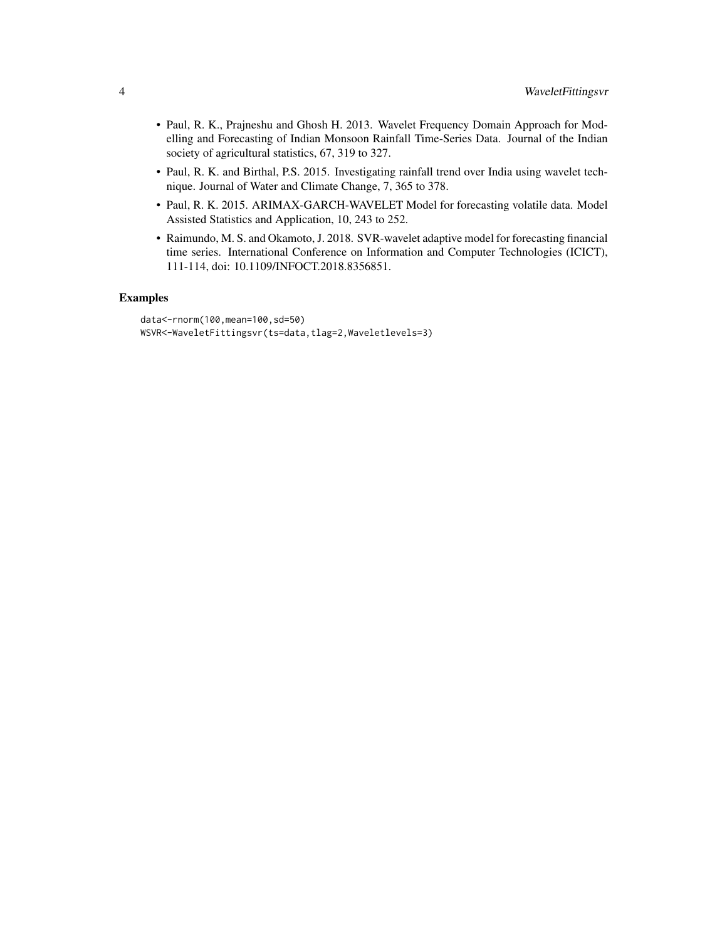- Paul, R. K., Prajneshu and Ghosh H. 2013. Wavelet Frequency Domain Approach for Modelling and Forecasting of Indian Monsoon Rainfall Time-Series Data. Journal of the Indian society of agricultural statistics, 67, 319 to 327.
- Paul, R. K. and Birthal, P.S. 2015. Investigating rainfall trend over India using wavelet technique. Journal of Water and Climate Change, 7, 365 to 378.
- Paul, R. K. 2015. ARIMAX-GARCH-WAVELET Model for forecasting volatile data. Model Assisted Statistics and Application, 10, 243 to 252.
- Raimundo, M. S. and Okamoto, J. 2018. SVR-wavelet adaptive model for forecasting financial time series. International Conference on Information and Computer Technologies (ICICT), 111-114, doi: 10.1109/INFOCT.2018.8356851.

#### Examples

```
data<-rnorm(100,mean=100,sd=50)
WSVR<-WaveletFittingsvr(ts=data,tlag=2,Waveletlevels=3)
```